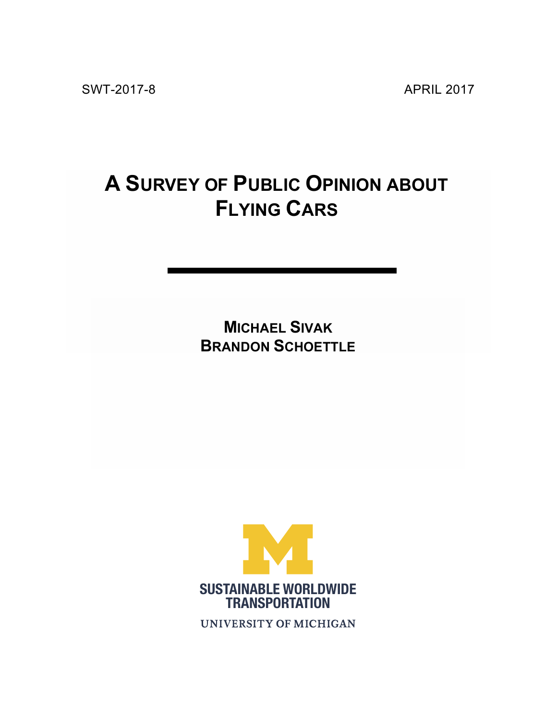# **A SURVEY OF PUBLIC OPINION ABOUT FLYING CARS**

**MICHAEL SIVAK BRANDON SCHOETTLE**



**UNIVERSITY OF MICHIGAN**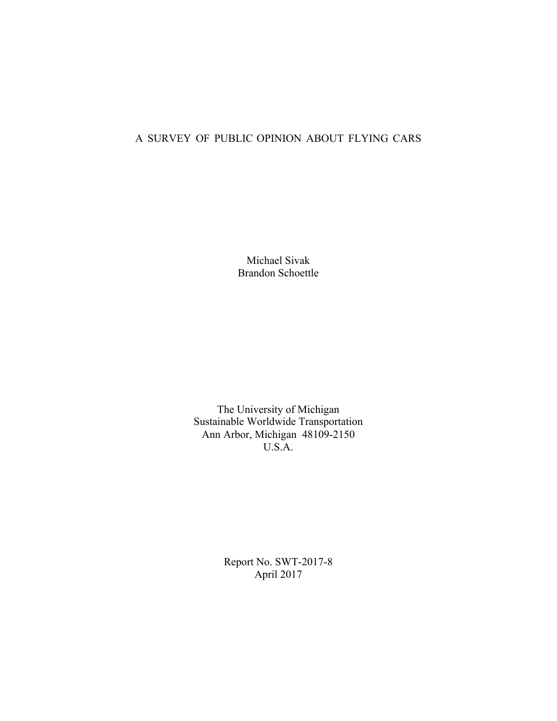## A SURVEY OF PUBLIC OPINION ABOUT FLYING CARS

Michael Sivak Brandon Schoettle

The University of Michigan Sustainable Worldwide Transportation Ann Arbor, Michigan 48109-2150 U.S.A.

> Report No. SWT-2017-8 April 2017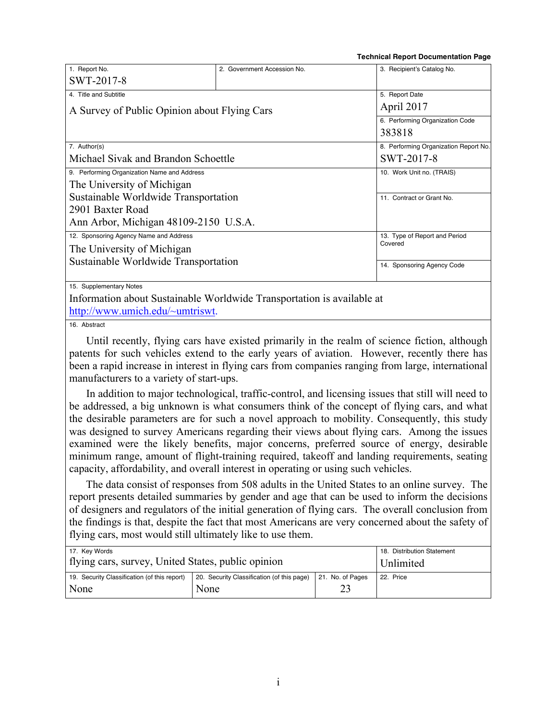**Technical Report Documentation Page**

| 1. Report No.                                | 2. Government Accession No.                                            | 3. Recipient's Catalog No.            |  |  |
|----------------------------------------------|------------------------------------------------------------------------|---------------------------------------|--|--|
| SWT-2017-8                                   |                                                                        |                                       |  |  |
| 4. Title and Subtitle                        |                                                                        | 5. Report Date                        |  |  |
| A Survey of Public Opinion about Flying Cars |                                                                        | April 2017                            |  |  |
|                                              |                                                                        | 6. Performing Organization Code       |  |  |
|                                              |                                                                        | 383818                                |  |  |
| 7. Author(s)                                 |                                                                        | 8. Performing Organization Report No. |  |  |
| Michael Sivak and Brandon Schoettle          |                                                                        | SWT-2017-8                            |  |  |
| 9. Performing Organization Name and Address  |                                                                        | 10. Work Unit no. (TRAIS)             |  |  |
| The University of Michigan                   |                                                                        |                                       |  |  |
| Sustainable Worldwide Transportation         |                                                                        | 11. Contract or Grant No.             |  |  |
| 2901 Baxter Road                             |                                                                        |                                       |  |  |
| Ann Arbor, Michigan 48109-2150 U.S.A.        |                                                                        |                                       |  |  |
| 12. Sponsoring Agency Name and Address       |                                                                        | 13. Type of Report and Period         |  |  |
| The University of Michigan                   |                                                                        | Covered                               |  |  |
| Sustainable Worldwide Transportation         |                                                                        | 14. Sponsoring Agency Code            |  |  |
|                                              |                                                                        |                                       |  |  |
| 15. Supplementary Notes                      |                                                                        |                                       |  |  |
|                                              | Information about Sustainable Worldwide Transportation is available at |                                       |  |  |
| http://www.umich.edu/~umtriswt.              |                                                                        |                                       |  |  |

16. Abstract

Until recently, flying cars have existed primarily in the realm of science fiction, although patents for such vehicles extend to the early years of aviation. However, recently there has been a rapid increase in interest in flying cars from companies ranging from large, international manufacturers to a variety of start-ups.

In addition to major technological, traffic-control, and licensing issues that still will need to be addressed, a big unknown is what consumers think of the concept of flying cars, and what the desirable parameters are for such a novel approach to mobility. Consequently, this study was designed to survey Americans regarding their views about flying cars. Among the issues examined were the likely benefits, major concerns, preferred source of energy, desirable minimum range, amount of flight-training required, takeoff and landing requirements, seating capacity, affordability, and overall interest in operating or using such vehicles.

The data consist of responses from 508 adults in the United States to an online survey. The report presents detailed summaries by gender and age that can be used to inform the decisions of designers and regulators of the initial generation of flying cars. The overall conclusion from the findings is that, despite the fact that most Americans are very concerned about the safety of flying cars, most would still ultimately like to use them.

| 17. Key Words                                        | 18. Distribution Statement                         |                  |           |
|------------------------------------------------------|----------------------------------------------------|------------------|-----------|
| flying cars, survey, United States, public opinion   | Unlimited                                          |                  |           |
| 19. Security Classification (of this report)<br>None | 20. Security Classification (of this page)<br>None | 21. No. of Pages | 22. Price |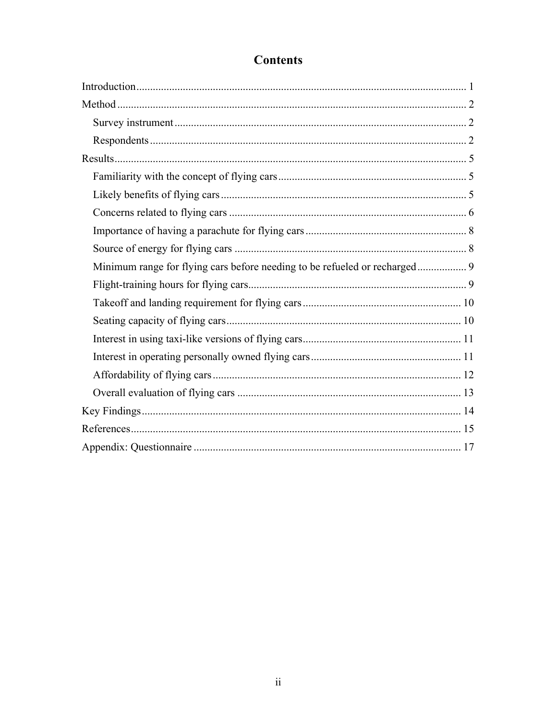## **Contents**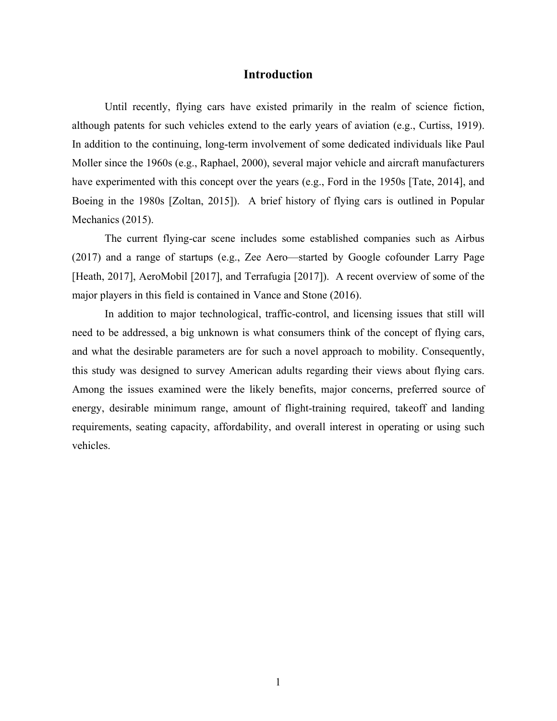#### **Introduction**

Until recently, flying cars have existed primarily in the realm of science fiction, although patents for such vehicles extend to the early years of aviation (e.g., Curtiss, 1919). In addition to the continuing, long-term involvement of some dedicated individuals like Paul Moller since the 1960s (e.g., Raphael, 2000), several major vehicle and aircraft manufacturers have experimented with this concept over the years (e.g., Ford in the 1950s [Tate, 2014], and Boeing in the 1980s [Zoltan, 2015]). A brief history of flying cars is outlined in Popular Mechanics (2015).

The current flying-car scene includes some established companies such as Airbus (2017) and a range of startups (e.g., Zee Aero—started by Google cofounder Larry Page [Heath, 2017], AeroMobil [2017], and Terrafugia [2017]). A recent overview of some of the major players in this field is contained in Vance and Stone (2016).

In addition to major technological, traffic-control, and licensing issues that still will need to be addressed, a big unknown is what consumers think of the concept of flying cars, and what the desirable parameters are for such a novel approach to mobility. Consequently, this study was designed to survey American adults regarding their views about flying cars. Among the issues examined were the likely benefits, major concerns, preferred source of energy, desirable minimum range, amount of flight-training required, takeoff and landing requirements, seating capacity, affordability, and overall interest in operating or using such vehicles.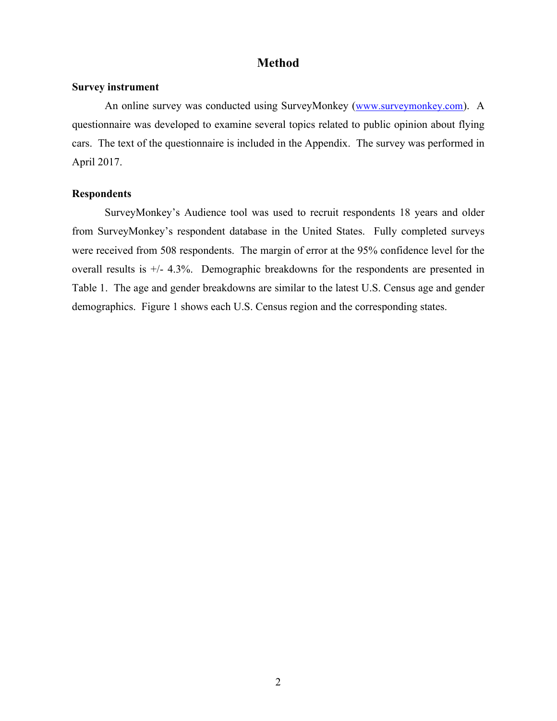## **Method**

#### **Survey instrument**

An online survey was conducted using SurveyMonkey (www.surveymonkey.com). A questionnaire was developed to examine several topics related to public opinion about flying cars. The text of the questionnaire is included in the Appendix. The survey was performed in April 2017.

#### **Respondents**

SurveyMonkey's Audience tool was used to recruit respondents 18 years and older from SurveyMonkey's respondent database in the United States. Fully completed surveys were received from 508 respondents. The margin of error at the 95% confidence level for the overall results is +/- 4.3%. Demographic breakdowns for the respondents are presented in Table 1. The age and gender breakdowns are similar to the latest U.S. Census age and gender demographics. Figure 1 shows each U.S. Census region and the corresponding states.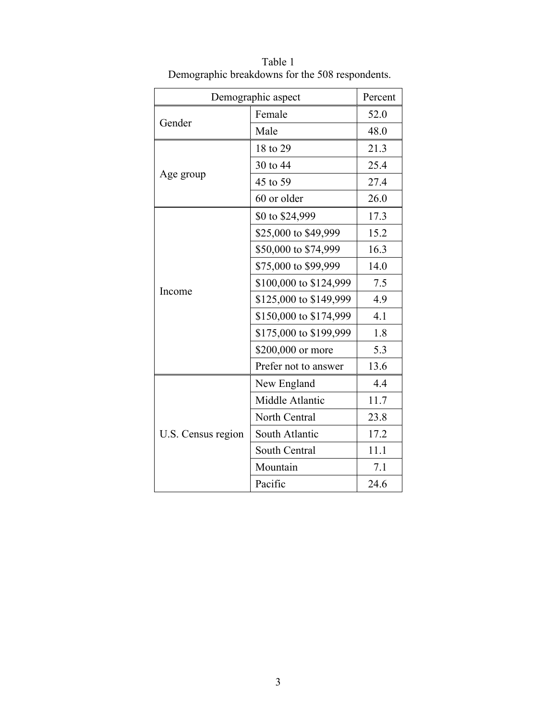|                    | Demographic aspect     | Percent |
|--------------------|------------------------|---------|
|                    | Female                 | 52.0    |
| Gender             | Male                   | 48.0    |
|                    | 18 to 29               | 21.3    |
| Age group          | 30 to 44               | 25.4    |
|                    | 45 to 59               | 27.4    |
|                    | 60 or older            | 26.0    |
|                    | \$0 to \$24,999        | 17.3    |
|                    | \$25,000 to \$49,999   | 15.2    |
|                    | \$50,000 to \$74,999   | 16.3    |
|                    | \$75,000 to \$99,999   | 14.0    |
|                    | \$100,000 to \$124,999 | 7.5     |
| Income             | \$125,000 to \$149,999 | 4.9     |
|                    | \$150,000 to \$174,999 | 4.1     |
|                    | \$175,000 to \$199,999 | 1.8     |
|                    | \$200,000 or more      | 5.3     |
|                    | Prefer not to answer   | 13.6    |
|                    | New England            | 4.4     |
|                    | Middle Atlantic        | 11.7    |
|                    | North Central          | 23.8    |
| U.S. Census region | South Atlantic         | 17.2    |
|                    | South Central          | 11.1    |
|                    | Mountain               | 7.1     |
|                    | Pacific                | 24.6    |

Table 1 Demographic breakdowns for the 508 respondents.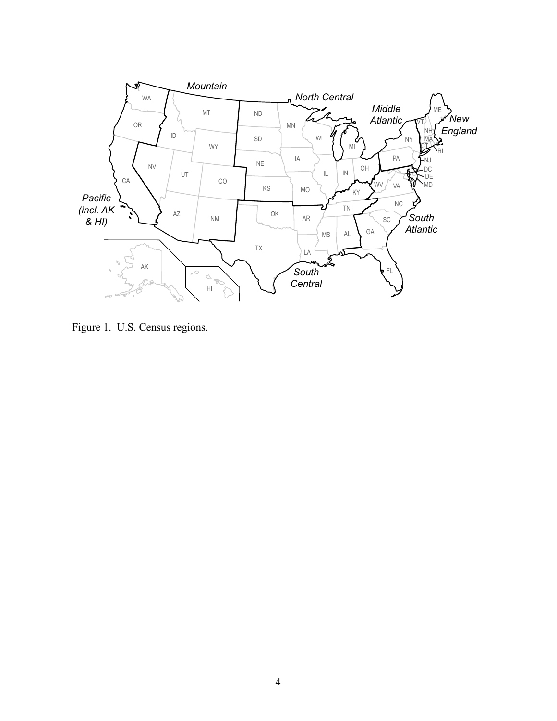

Figure 1. U.S. Census regions.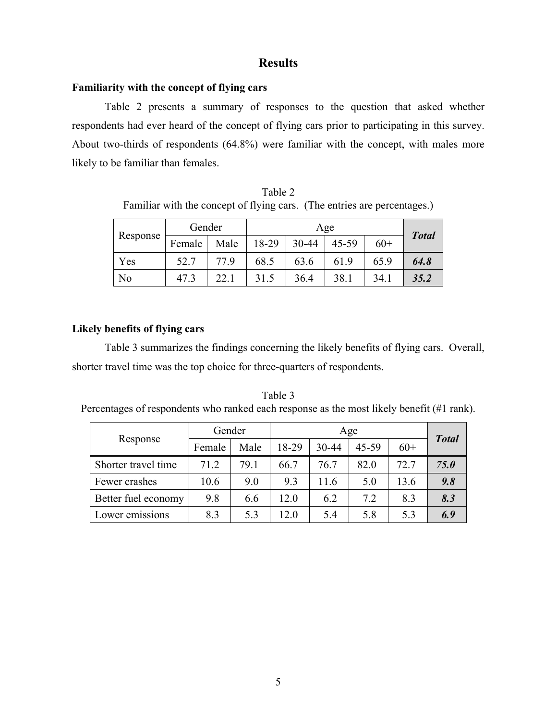## **Results**

#### **Familiarity with the concept of flying cars**

Table 2 presents a summary of responses to the question that asked whether respondents had ever heard of the concept of flying cars prior to participating in this survey. About two-thirds of respondents (64.8%) were familiar with the concept, with males more likely to be familiar than females.

| Table 2                                                                  |  |
|--------------------------------------------------------------------------|--|
| Familiar with the concept of flying cars. (The entries are percentages.) |  |

| Response       | Gender |      |       |       |       |       |              |
|----------------|--------|------|-------|-------|-------|-------|--------------|
|                | Female | Male | 18-29 | 30-44 | 45-59 | $60+$ | <b>Total</b> |
| Yes            | 52.7   | 77.9 | 68.5  | 63.6  | 61.9  | 65.9  | 64.8         |
| N <sub>0</sub> | 47.3   | 22.1 | 31.5  | 36.4  | 38.1  | 34.1  | 35.2         |

## **Likely benefits of flying cars**

Table 3 summarizes the findings concerning the likely benefits of flying cars. Overall, shorter travel time was the top choice for three-quarters of respondents.

Table 3 Percentages of respondents who ranked each response as the most likely benefit (#1 rank).

|                     | Gender |      | Age   |       |       |       |              |  |
|---------------------|--------|------|-------|-------|-------|-------|--------------|--|
| Response            | Female | Male | 18-29 | 30-44 | 45-59 | $60+$ | <b>Total</b> |  |
| Shorter travel time | 71.2   | 79.1 | 66.7  | 76.7  | 82.0  | 72.7  | 75.0         |  |
| Fewer crashes       | 10.6   | 9.0  | 9.3   | 11.6  | 5.0   | 13.6  | 9.8          |  |
| Better fuel economy | 9.8    | 6.6  | 12.0  | 6.2   | 7.2   | 8.3   | 8.3          |  |
| Lower emissions     | 8.3    | 5.3  | 12.0  | 5.4   | 5.8   | 5.3   | 6.9          |  |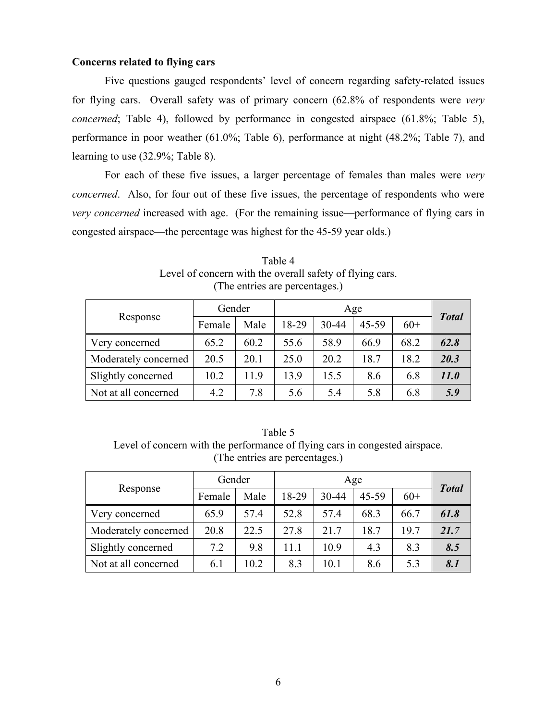#### **Concerns related to flying cars**

Five questions gauged respondents' level of concern regarding safety-related issues for flying cars. Overall safety was of primary concern (62.8% of respondents were *very concerned*; Table 4), followed by performance in congested airspace (61.8%; Table 5), performance in poor weather (61.0%; Table 6), performance at night (48.2%; Table 7), and learning to use (32.9%; Table 8).

For each of these five issues, a larger percentage of females than males were *very concerned*. Also, for four out of these five issues, the percentage of respondents who were *very concerned* increased with age. (For the remaining issue—performance of flying cars in congested airspace—the percentage was highest for the 45-59 year olds.)

|                      | Gender |      | Age   |       |       |       |              |
|----------------------|--------|------|-------|-------|-------|-------|--------------|
| Response             | Female | Male | 18-29 | 30-44 | 45-59 | $60+$ | <b>Total</b> |
| Very concerned       | 65.2   | 60.2 | 55.6  | 58.9  | 66.9  | 68.2  | 62.8         |
| Moderately concerned | 20.5   | 20.1 | 25.0  | 20.2  | 18.7  | 18.2  | 20.3         |
| Slightly concerned   | 10.2   | 11.9 | 13.9  | 15.5  | 8.6   | 6.8   | <i>11.0</i>  |
| Not at all concerned | 4.2    | 7.8  | 5.6   | 5.4   | 5.8   | 6.8   | 5.9          |

Table 4 Level of concern with the overall safety of flying cars. (The entries are percentages.)

Table 5 Level of concern with the performance of flying cars in congested airspace. (The entries are percentages.)

|                      | Gender |      | Age   |       |       |       |              |
|----------------------|--------|------|-------|-------|-------|-------|--------------|
| Response             | Female | Male | 18-29 | 30-44 | 45-59 | $60+$ | <b>Total</b> |
| Very concerned       | 65.9   | 57.4 | 52.8  | 57.4  | 68.3  | 66.7  | 61.8         |
| Moderately concerned | 20.8   | 22.5 | 27.8  | 21.7  | 18.7  | 19.7  | 21.7         |
| Slightly concerned   | 7.2    | 9.8  | 11.1  | 10.9  | 4.3   | 8.3   | 8.5          |
| Not at all concerned | 6.1    | 10.2 | 8.3   | 10.1  | 8.6   | 5.3   | 8.1          |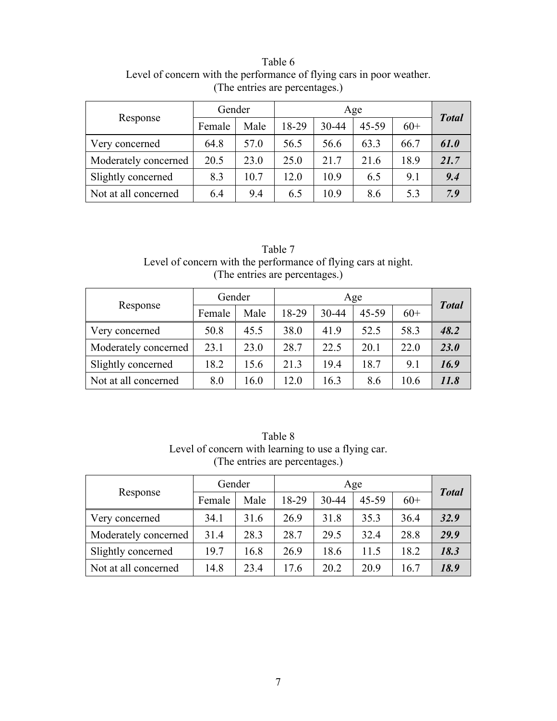Table 6 Level of concern with the performance of flying cars in poor weather. (The entries are percentages.)

|                      | Gender |      | Age   |       |       |       |              |
|----------------------|--------|------|-------|-------|-------|-------|--------------|
| Response             | Female | Male | 18-29 | 30-44 | 45-59 | $60+$ | <b>Total</b> |
| Very concerned       | 64.8   | 57.0 | 56.5  | 56.6  | 63.3  | 66.7  | 61.0         |
| Moderately concerned | 20.5   | 23.0 | 25.0  | 21.7  | 21.6  | 18.9  | 21.7         |
| Slightly concerned   | 8.3    | 10.7 | 12.0  | 10.9  | 6.5   | 9.1   | 9.4          |
| Not at all concerned | 6.4    | 9.4  | 6.5   | 10.9  | 8.6   | 5.3   | 7.9          |

Table 7 Level of concern with the performance of flying cars at night. (The entries are percentages.)

|                      | Gender |      | Age   |       |       |       | <b>Total</b> |
|----------------------|--------|------|-------|-------|-------|-------|--------------|
| Response             | Female | Male | 18-29 | 30-44 | 45-59 | $60+$ |              |
| Very concerned       | 50.8   | 45.5 | 38.0  | 41.9  | 52.5  | 58.3  | 48.2         |
| Moderately concerned | 23.1   | 23.0 | 28.7  | 22.5  | 20.1  | 22.0  | 23.0         |
| Slightly concerned   | 18.2   | 15.6 | 21.3  | 19.4  | 18.7  | 9.1   | 16.9         |
| Not at all concerned | 8.0    | 16.0 | 12.0  | 16.3  | 8.6   | 10.6  | 11.8         |

Table 8 Level of concern with learning to use a flying car. (The entries are percentages.)

|                      | Gender |      | Age   |       |           |       | <b>Total</b> |
|----------------------|--------|------|-------|-------|-----------|-------|--------------|
| Response             | Female | Male | 18-29 | 30-44 | $45 - 59$ | $60+$ |              |
| Very concerned       | 34.1   | 31.6 | 26.9  | 31.8  | 35.3      | 36.4  | 32.9         |
| Moderately concerned | 31.4   | 28.3 | 28.7  | 29.5  | 32.4      | 28.8  | 29.9         |
| Slightly concerned   | 19.7   | 16.8 | 26.9  | 18.6  | 11.5      | 18.2  | 18.3         |
| Not at all concerned | 14.8   | 23.4 | 17.6  | 20.2  | 20.9      | 16.7  | 18.9         |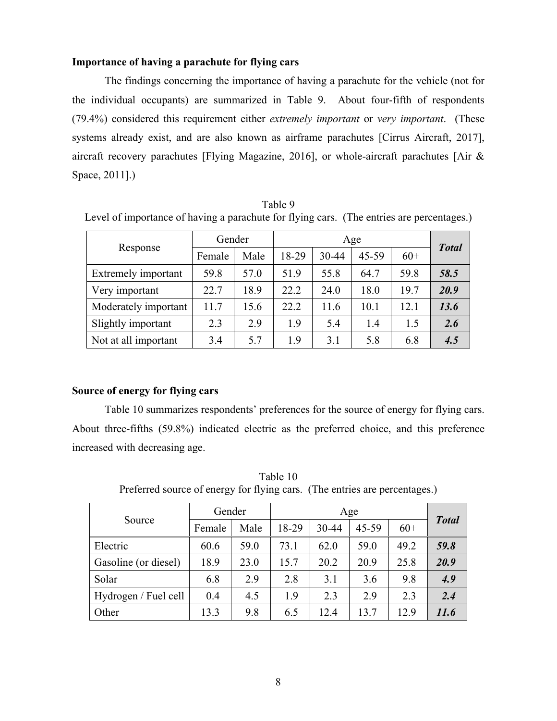#### **Importance of having a parachute for flying cars**

The findings concerning the importance of having a parachute for the vehicle (not for the individual occupants) are summarized in Table 9. About four-fifth of respondents (79.4%) considered this requirement either *extremely important* or *very important*. (These systems already exist, and are also known as airframe parachutes [Cirrus Aircraft, 2017], aircraft recovery parachutes [Flying Magazine, 2016], or whole-aircraft parachutes [Air & Space, 2011].)

| Level of importance of having a parachute for flying cars. (The entries are percentages.) |        |      |       |       |       |       |              |
|-------------------------------------------------------------------------------------------|--------|------|-------|-------|-------|-------|--------------|
|                                                                                           | Gender |      |       |       |       |       |              |
| Response                                                                                  | Female | Male | 18-29 | 30-44 | 45-59 | $60+$ | <b>Total</b> |
| Extremely important                                                                       | 59.8   | 57.0 | 51.9  | 55.8  | 64.7  | 59.8  | 58.5         |
| Very important                                                                            | 22.7   | 18.9 | 22.2  | 24.0  | 18.0  | 19.7  | 20.9         |
| Moderately important                                                                      | 11.7   | 15.6 | 22.2  | 11.6  | 10.1  | 12.1  | 13.6         |
| Slightly important                                                                        | 2.3    | 2.9  | 19    | 5.4   | 1.4   | 1.5   | 2.6          |
| Not at all important                                                                      | 3.4    | 5.7  | 1.9   | 3.1   | 5.8   | 6.8   | 4.5          |

Table 9 Level of importance of having a parachute for flying cars. (The entries are percentages.)

#### **Source of energy for flying cars**

Table 10 summarizes respondents' preferences for the source of energy for flying cars. About three-fifths (59.8%) indicated electric as the preferred choice, and this preference increased with decreasing age.

| Source               | Gender |      |       | <b>Total</b> |       |       |      |  |  |  |
|----------------------|--------|------|-------|--------------|-------|-------|------|--|--|--|
|                      | Female | Male | 18-29 | 30-44        | 45-59 | $60+$ |      |  |  |  |
| Electric             | 60.6   | 59.0 | 73.1  | 62.0         | 59.0  | 49.2  | 59.8 |  |  |  |
| Gasoline (or diesel) | 18.9   | 23.0 | 15.7  | 20.2         | 20.9  | 25.8  | 20.9 |  |  |  |
| Solar                | 6.8    | 2.9  | 2.8   | 3.1          | 3.6   | 9.8   | 4.9  |  |  |  |
| Hydrogen / Fuel cell | 0.4    | 4.5  | 1.9   | 2.3          | 2.9   | 2.3   | 2.4  |  |  |  |
| Other                | 13.3   | 9.8  | 6.5   | 12.4         | 13.7  | 12.9  | 11.6 |  |  |  |

Table 10 Preferred source of energy for flying cars. (The entries are percentages.)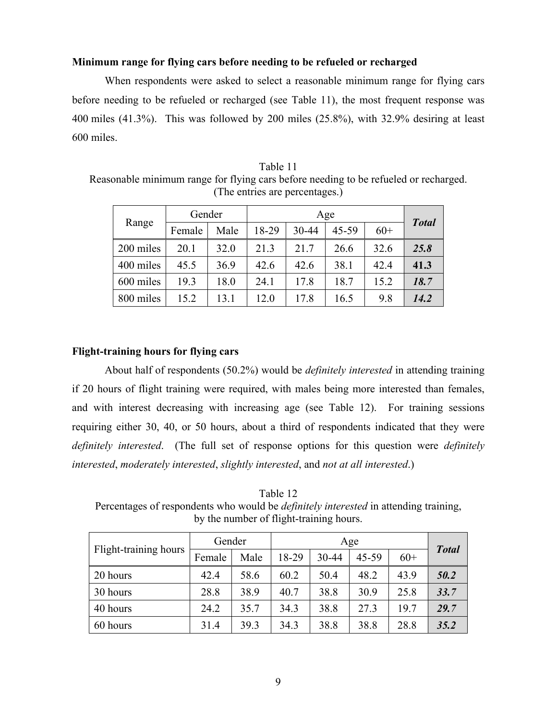#### **Minimum range for flying cars before needing to be refueled or recharged**

When respondents were asked to select a reasonable minimum range for flying cars before needing to be refueled or recharged (see Table 11), the most frequent response was 400 miles (41.3%). This was followed by 200 miles (25.8%), with 32.9% desiring at least 600 miles.

Table 11 Reasonable minimum range for flying cars before needing to be refueled or recharged. (The entries are percentages.)

|           | Gender |      |       | Age   |           |       |              |  |  |  |
|-----------|--------|------|-------|-------|-----------|-------|--------------|--|--|--|
| Range     | Female | Male | 18-29 | 30-44 | $45 - 59$ | $60+$ | <b>Total</b> |  |  |  |
| 200 miles | 20.1   | 32.0 | 21.3  | 21.7  | 26.6      | 32.6  | 25.8         |  |  |  |
| 400 miles | 45.5   | 36.9 | 42.6  | 42.6  | 38.1      | 42.4  | 41.3         |  |  |  |
| 600 miles | 19.3   | 18.0 | 24.1  | 17.8  | 18.7      | 15.2  | 18.7         |  |  |  |
| 800 miles | 15.2   | 13.1 | 12.0  | 17.8  | 16.5      | 9.8   | 14.2         |  |  |  |

#### **Flight-training hours for flying cars**

About half of respondents (50.2%) would be *definitely interested* in attending training if 20 hours of flight training were required, with males being more interested than females, and with interest decreasing with increasing age (see Table 12). For training sessions requiring either 30, 40, or 50 hours, about a third of respondents indicated that they were *definitely interested*. (The full set of response options for this question were *definitely interested*, *moderately interested*, *slightly interested*, and *not at all interested*.)

Table 12 Percentages of respondents who would be *definitely interested* in attending training, by the number of flight-training hours.

|                       | Gender |      |       |       |       |       |              |
|-----------------------|--------|------|-------|-------|-------|-------|--------------|
| Flight-training hours | Female | Male | 18-29 | 30-44 | 45-59 | $60+$ | <b>Total</b> |
| 20 hours              | 42.4   | 58.6 | 60.2  | 50.4  | 48.2  | 43.9  | 50.2         |
| 30 hours              | 28.8   | 38.9 | 40.7  | 38.8  | 30.9  | 25.8  | 33.7         |
| 40 hours              | 24.2   | 35.7 | 34.3  | 38.8  | 27.3  | 19.7  | 29.7         |
| 60 hours              | 31.4   | 39.3 | 34.3  | 38.8  | 38.8  | 28.8  | 35.2         |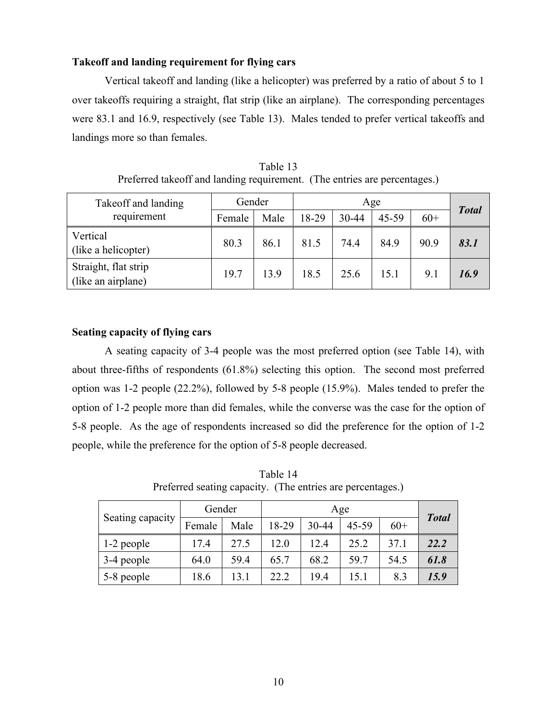#### **Takeoff and landing requirement for flying cars**

Vertical takeoff and landing (like a helicopter) was preferred by a ratio of about 5 to 1 over takeoffs requiring a straight, flat strip (like an airplane). The corresponding percentages were 83.1 and 16.9, respectively (see Table 13). Males tended to prefer vertical takeoffs and landings more so than females.

| Takeoff and landing                        | Gender |      |       |       |       |       |              |
|--------------------------------------------|--------|------|-------|-------|-------|-------|--------------|
| requirement                                | Female | Male | 18-29 | 30-44 | 45-59 | $60+$ | <b>Total</b> |
| Vertical<br>(like a helicopter)            | 80.3   | 86.1 | 81.5  | 74.4  | 84.9  | 90.9  | 83.1         |
| Straight, flat strip<br>(like an airplane) | 19.7   | 13.9 | 18.5  | 25.6  | 15.1  | 9.1   | 16.9         |

Table 13 Preferred takeoff and landing requirement. (The entries are percentages.)

#### **Seating capacity of flying cars**

A seating capacity of 3-4 people was the most preferred option (see Table 14), with about three-fifths of respondents (61.8%) selecting this option. The second most preferred option was 1-2 people (22.2%), followed by 5-8 people (15.9%). Males tended to prefer the option of 1-2 people more than did females, while the converse was the case for the option of 5-8 people. As the age of respondents increased so did the preference for the option of 1-2 people, while the preference for the option of 5-8 people decreased.

Table 14 Preferred seating capacity. (The entries are percentages.)

|                  | Gender |      |       | <b>Total</b> |       |       |      |
|------------------|--------|------|-------|--------------|-------|-------|------|
| Seating capacity | Female | Male | 18-29 | 30-44        | 45-59 | $60+$ |      |
| 1-2 people       | 17.4   | 27.5 | 12.0  | 12.4         | 25.2  | 37.1  | 22.2 |
| 3-4 people       | 64.0   | 59.4 | 65.7  | 68.2         | 59.7  | 54.5  | 61.8 |
| 5-8 people       | 18.6   | 13.1 | 22.2  | 19.4         | 15.1  | 8.3   | 15.9 |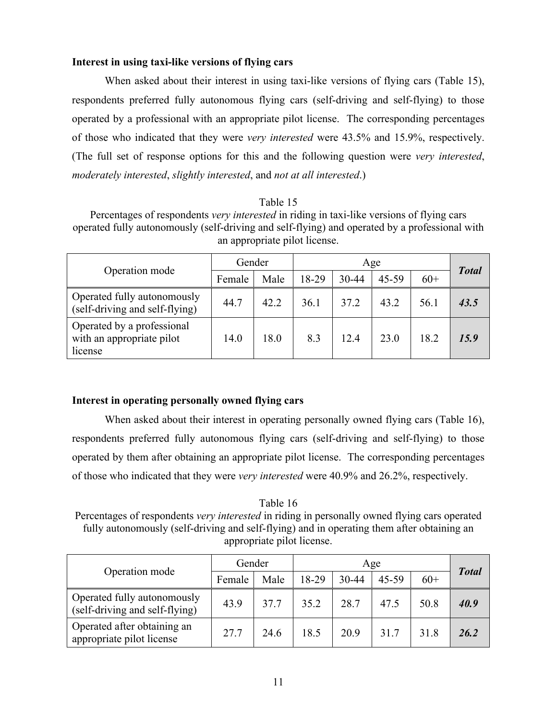#### **Interest in using taxi-like versions of flying cars**

When asked about their interest in using taxi-like versions of flying cars (Table 15), respondents preferred fully autonomous flying cars (self-driving and self-flying) to those operated by a professional with an appropriate pilot license. The corresponding percentages of those who indicated that they were *very interested* were 43.5% and 15.9%, respectively. (The full set of response options for this and the following question were *very interested*, *moderately interested*, *slightly interested*, and *not at all interested*.)

#### Table 15

Percentages of respondents *very interested* in riding in taxi-like versions of flying cars operated fully autonomously (self-driving and self-flying) and operated by a professional with an appropriate pilot license.

|                                                                    | Gender |      |       |           |       |       |              |
|--------------------------------------------------------------------|--------|------|-------|-----------|-------|-------|--------------|
| Operation mode                                                     | Female | Male | 18-29 | $30 - 44$ | 45-59 | $60+$ | <b>Total</b> |
| Operated fully autonomously<br>(self-driving and self-flying)      | 44.7   | 42.2 | 36.1  | 37.2      | 43.2  | 56.1  | 43.5         |
| Operated by a professional<br>with an appropriate pilot<br>license | 14.0   | 18.0 | 8.3   | 12.4      | 23.0  | 18.2  | 15.9         |

#### **Interest in operating personally owned flying cars**

When asked about their interest in operating personally owned flying cars (Table 16), respondents preferred fully autonomous flying cars (self-driving and self-flying) to those operated by them after obtaining an appropriate pilot license. The corresponding percentages of those who indicated that they were *very interested* were 40.9% and 26.2%, respectively.

Table 16 Percentages of respondents *very interested* in riding in personally owned flying cars operated fully autonomously (self-driving and self-flying) and in operating them after obtaining an appropriate pilot license.

| Operation mode                                                | Gender |      |       | <b>Total</b> |       |       |      |
|---------------------------------------------------------------|--------|------|-------|--------------|-------|-------|------|
|                                                               | Female | Male | 18-29 | $30 - 44$    | 45-59 | $60+$ |      |
| Operated fully autonomously<br>(self-driving and self-flying) | 43.9   | 37.7 | 35.2  | 28.7         | 47.5  | 50.8  | 40.9 |
| Operated after obtaining an<br>appropriate pilot license      | 27.7   | 24.6 | 18.5  | 20.9         | 31.7  | 31.8  | 26.2 |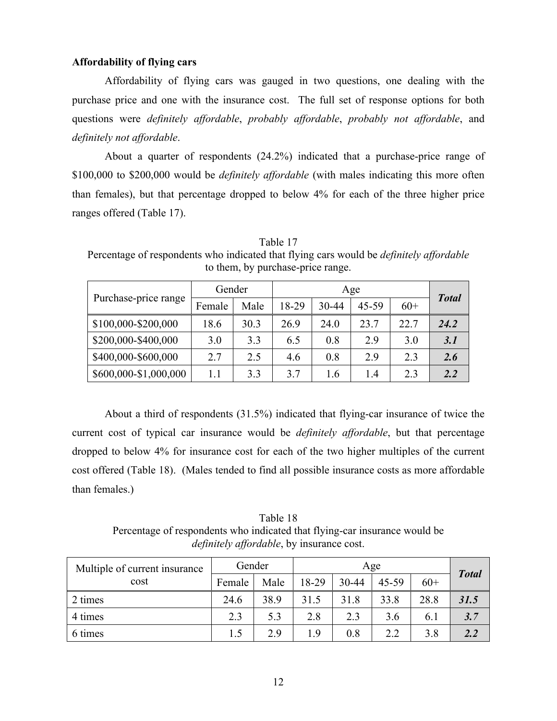#### **Affordability of flying cars**

Affordability of flying cars was gauged in two questions, one dealing with the purchase price and one with the insurance cost. The full set of response options for both questions were *definitely affordable*, *probably affordable*, *probably not affordable*, and *definitely not affordable*.

About a quarter of respondents (24.2%) indicated that a purchase-price range of \$100,000 to \$200,000 would be *definitely affordable* (with males indicating this more often than females), but that percentage dropped to below 4% for each of the three higher price ranges offered (Table 17).

|                       | Gender  |      |       | <b>Total</b> |       |       |      |
|-----------------------|---------|------|-------|--------------|-------|-------|------|
| Purchase-price range  | Female  | Male | 18-29 | 30-44        | 45-59 | $60+$ |      |
| \$100,000-\$200,000   | 18.6    | 30.3 | 26.9  | 24.0         | 23.7  | 22.7  | 24.2 |
| \$200,000-\$400,000   | 3.0     | 3.3  | 6.5   | 0.8          | 2.9   | 3.0   | 3.1  |
| \$400,000-\$600,000   | 2.7     | 2.5  | 4.6   | 0.8          | 2.9   | 2.3   | 2.6  |
| \$600,000-\$1,000,000 | $1.1\,$ | 3.3  | 3.7   | 1.6          | 1.4   | 2.3   | 2.2  |

Table 17 Percentage of respondents who indicated that flying cars would be *definitely affordable* to them, by purchase-price range.

About a third of respondents (31.5%) indicated that flying-car insurance of twice the current cost of typical car insurance would be *definitely affordable*, but that percentage dropped to below 4% for insurance cost for each of the two higher multiples of the current cost offered (Table 18). (Males tended to find all possible insurance costs as more affordable than females.)

Table 18 Percentage of respondents who indicated that flying-car insurance would be *definitely affordable*, by insurance cost.

| Multiple of current insurance | Gender |      |       |       |       |       |              |
|-------------------------------|--------|------|-------|-------|-------|-------|--------------|
| cost                          | Female | Male | 18-29 | 30-44 | 45-59 | $60+$ | <b>Total</b> |
| 2 times                       | 24.6   | 38.9 | 31.5  | 31.8  | 33.8  | 28.8  | 31.5         |
| 4 times                       | 2.3    | 5.3  | 2.8   | 2.3   | 3.6   | 6.1   | 3.7          |
| 6 times                       | 1.5    | 2.9  | 1.9   | 0.8   | 2.2   | 3.8   |              |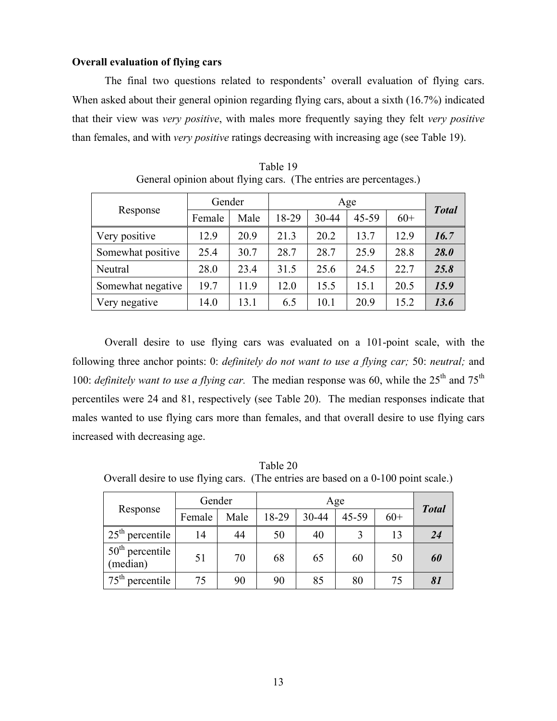#### **Overall evaluation of flying cars**

The final two questions related to respondents' overall evaluation of flying cars. When asked about their general opinion regarding flying cars, about a sixth (16.7%) indicated that their view was *very positive*, with males more frequently saying they felt *very positive* than females, and with *very positive* ratings decreasing with increasing age (see Table 19).

| Response          | Gender |      |       |       |           |       |              |
|-------------------|--------|------|-------|-------|-----------|-------|--------------|
|                   | Female | Male | 18-29 | 30-44 | $45 - 59$ | $60+$ | <b>Total</b> |
| Very positive     | 12.9   | 20.9 | 21.3  | 20.2  | 13.7      | 12.9  | 16.7         |
| Somewhat positive | 25.4   | 30.7 | 28.7  | 28.7  | 25.9      | 28.8  | 28.0         |
| Neutral           | 28.0   | 23.4 | 31.5  | 25.6  | 24.5      | 22.7  | 25.8         |
| Somewhat negative | 19.7   | 11.9 | 12.0  | 15.5  | 15.1      | 20.5  | 15.9         |
| Very negative     | 14.0   | 13.1 | 6.5   | 10.1  | 20.9      | 15.2  | 13.6         |

Table 19 General opinion about flying cars. (The entries are percentages.)

Overall desire to use flying cars was evaluated on a 101-point scale, with the following three anchor points: 0: *definitely do not want to use a flying car;* 50: *neutral;* and 100: *definitely want to use a flying car*. The median response was 60, while the 25<sup>th</sup> and 75<sup>th</sup> percentiles were 24 and 81, respectively (see Table 20). The median responses indicate that males wanted to use flying cars more than females, and that overall desire to use flying cars increased with decreasing age.

Table 20 Overall desire to use flying cars. (The entries are based on a 0-100 point scale.)

|                               | Gender |      |       | Age   |       |       |              |  |  |
|-------------------------------|--------|------|-------|-------|-------|-------|--------------|--|--|
| Response                      | Female | Male | 18-29 | 30-44 | 45-59 | $60+$ | <b>Total</b> |  |  |
| $25th$ percentile             | 14     | 44   | 50    | 40    |       | 13    | 24           |  |  |
| $50th$ percentile<br>(median) | 51     | 70   | 68    | 65    | 60    | 50    | 60           |  |  |
| $75th$ percentile             | 75     | 90   | 90    | 85    | 80    | 75    |              |  |  |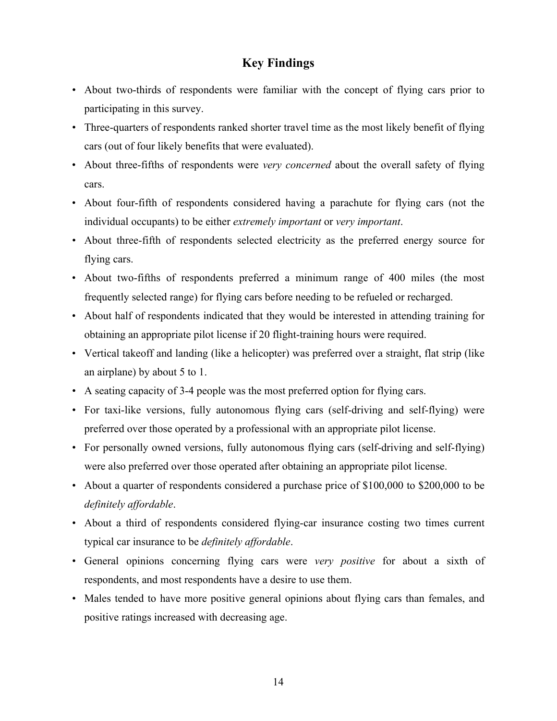## **Key Findings**

- About two-thirds of respondents were familiar with the concept of flying cars prior to participating in this survey.
- Three-quarters of respondents ranked shorter travel time as the most likely benefit of flying cars (out of four likely benefits that were evaluated).
- About three-fifths of respondents were *very concerned* about the overall safety of flying cars.
- About four-fifth of respondents considered having a parachute for flying cars (not the individual occupants) to be either *extremely important* or *very important*.
- About three-fifth of respondents selected electricity as the preferred energy source for flying cars.
- About two-fifths of respondents preferred a minimum range of 400 miles (the most frequently selected range) for flying cars before needing to be refueled or recharged.
- About half of respondents indicated that they would be interested in attending training for obtaining an appropriate pilot license if 20 flight-training hours were required.
- Vertical takeoff and landing (like a helicopter) was preferred over a straight, flat strip (like an airplane) by about 5 to 1.
- A seating capacity of 3-4 people was the most preferred option for flying cars.
- For taxi-like versions, fully autonomous flying cars (self-driving and self-flying) were preferred over those operated by a professional with an appropriate pilot license.
- For personally owned versions, fully autonomous flying cars (self-driving and self-flying) were also preferred over those operated after obtaining an appropriate pilot license.
- About a quarter of respondents considered a purchase price of \$100,000 to \$200,000 to be *definitely affordable*.
- About a third of respondents considered flying-car insurance costing two times current typical car insurance to be *definitely affordable*.
- R General opinions concerning flying cars were *very positive* for about a sixth of respondents, and most respondents have a desire to use them.
- Males tended to have more positive general opinions about flying cars than females, and positive ratings increased with decreasing age.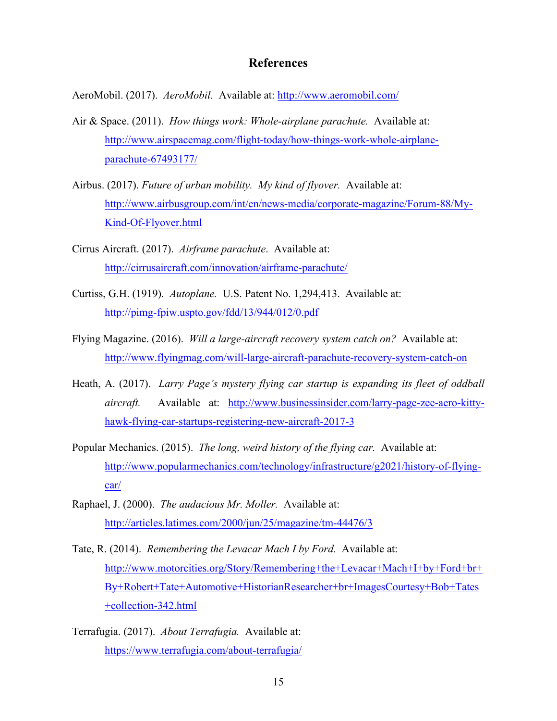#### **References**

AeroMobil. (2017). *AeroMobil.* Available at: http://www.aeromobil.com/

- Air & Space. (2011). *How things work: Whole-airplane parachute.* Available at: http://www.airspacemag.com/flight-today/how-things-work-whole-airplaneparachute-67493177/
- Airbus. (2017). *Future of urban mobility. My kind of flyover.* Available at: http://www.airbusgroup.com/int/en/news-media/corporate-magazine/Forum-88/My-Kind-Of-Flyover.html
- Cirrus Aircraft. (2017). *Airframe parachute*. Available at: http://cirrusaircraft.com/innovation/airframe-parachute/
- Curtiss, G.H. (1919). *Autoplane.* U.S. Patent No. 1,294,413. Available at: http://pimg-fpiw.uspto.gov/fdd/13/944/012/0.pdf
- Flying Magazine. (2016). *Will a large-aircraft recovery system catch on?* Available at: http://www.flyingmag.com/will-large-aircraft-parachute-recovery-system-catch-on
- Heath, A. (2017). *Larry Page's mystery flying car startup is expanding its fleet of oddball aircraft.* Available at: http://www.businessinsider.com/larry-page-zee-aero-kittyhawk-flying-car-startups-registering-new-aircraft-2017-3
- Popular Mechanics. (2015). *The long, weird history of the flying car.* Available at: http://www.popularmechanics.com/technology/infrastructure/g2021/history-of-flyingcar/
- Raphael, J. (2000). *The audacious Mr. Moller.* Available at: http://articles.latimes.com/2000/jun/25/magazine/tm-44476/3
- Tate, R. (2014). *Remembering the Levacar Mach I by Ford.* Available at: http://www.motorcities.org/Story/Remembering+the+Levacar+Mach+I+by+Ford+br+ By+Robert+Tate+Automotive+HistorianResearcher+br+ImagesCourtesy+Bob+Tates +collection-342.html)
- Terrafugia. (2017). *About Terrafugia.* Available at: https://www.terrafugia.com/about-terrafugia/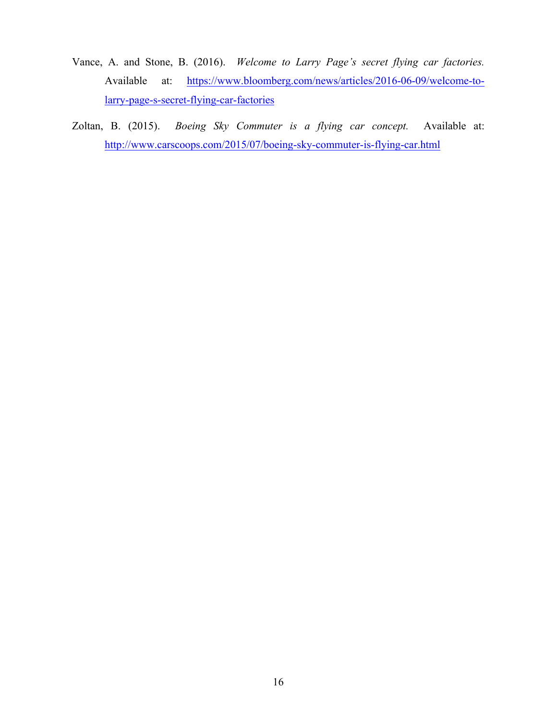- Vance, A. and Stone, B. (2016). *Welcome to Larry Page's secret flying car factories.* Available at: https://www.bloomberg.com/news/articles/2016-06-09/welcome-tolarry-page-s-secret-flying-car-factories
- Zoltan, B. (2015). *Boeing Sky Commuter is a flying car concept.* Available at: http://www.carscoops.com/2015/07/boeing-sky-commuter-is-flying-car.html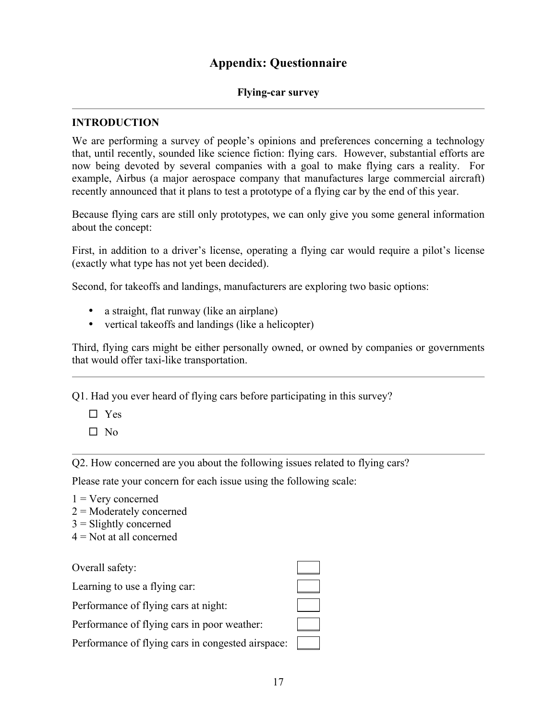## **Appendix: Questionnaire**

#### **Flying-car survey**

#### **INTRODUCTION**

We are performing a survey of people's opinions and preferences concerning a technology that, until recently, sounded like science fiction: flying cars. However, substantial efforts are now being devoted by several companies with a goal to make flying cars a reality. For example, Airbus (a major aerospace company that manufactures large commercial aircraft) recently announced that it plans to test a prototype of a flying car by the end of this year.

Because flying cars are still only prototypes, we can only give you some general information about the concept:

First, in addition to a driver's license, operating a flying car would require a pilot's license (exactly what type has not yet been decided).

Second, for takeoffs and landings, manufacturers are exploring two basic options:

- a straight, flat runway (like an airplane)
- vertical takeoffs and landings (like a helicopter)

Third, flying cars might be either personally owned, or owned by companies or governments that would offer taxi-like transportation.

Q1. Had you ever heard of flying cars before participating in this survey?

- $\square$  Yes
- $\square$  No

Q2. How concerned are you about the following issues related to flying cars?

Please rate your concern for each issue using the following scale:

- $1 =$  Very concerned
- 2 = Moderately concerned
- $3 =$ Slightly concerned
- $4$  = Not at all concerned

Overall safety:

Learning to use a flying car:

Performance of flying cars at night:

Performance of flying cars in poor weather:

Performance of flying cars in congested airspace:  $\Box$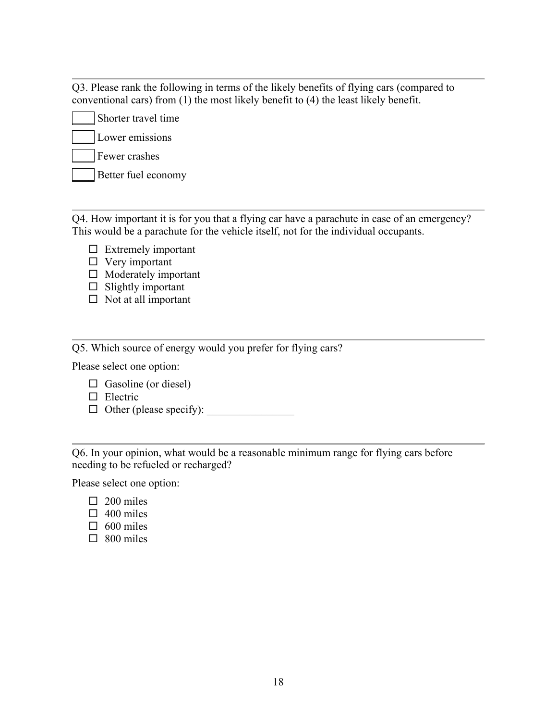Q3. Please rank the following in terms of the likely benefits of flying cars (compared to conventional cars) from (1) the most likely benefit to (4) the least likely benefit.

Shorter travel time Lower emissions \_\_\_\_ Fewer crashes

Better fuel economy

Q4. How important it is for you that a flying car have a parachute in case of an emergency? This would be a parachute for the vehicle itself, not for the individual occupants.

- $\square$  Extremely important
- $\Box$  Very important
- $\Box$  Moderately important
- $\Box$  Slightly important
- $\square$  Not at all important

Q5. Which source of energy would you prefer for flying cars?

Please select one option:

- $\Box$  Gasoline (or diesel)
- $\Box$  Electric
- $\Box$  Other (please specify):

Q6. In your opinion, what would be a reasonable minimum range for flying cars before needing to be refueled or recharged?

Please select one option:

- $\Box$  200 miles
- $\Box$  400 miles
- $\Box$  600 miles
- $\square$  800 miles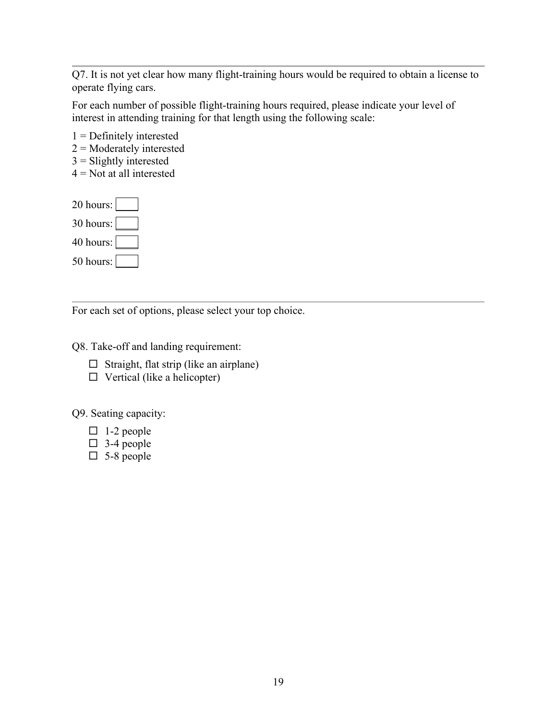Q7. It is not yet clear how many flight-training hours would be required to obtain a license to operate flying cars.

For each number of possible flight-training hours required, please indicate your level of interest in attending training for that length using the following scale:

1 = Definitely interested 2 = Moderately interested  $3$  = Slightly interested  $4$  = Not at all interested 20 hours: 30 hours:

40 hours:

50 hours:

For each set of options, please select your top choice.

Q8. Take-off and landing requirement:

- $\square$  Straight, flat strip (like an airplane)
- $\Box$  Vertical (like a helicopter)

Q9. Seating capacity:

- $\Box$  1-2 people
- $\Box$  3-4 people
- $\square$  5-8 people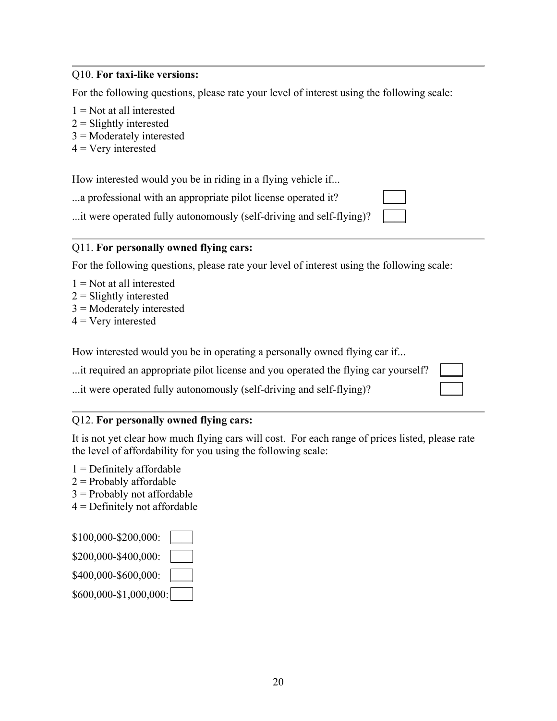#### Q10. **For taxi-like versions:**

For the following questions, please rate your level of interest using the following scale:

- $1 = Not$  at all interested
- $2 =$ Slightly interested
- 3 = Moderately interested
- $4 = V$ ery interested

How interested would you be in riding in a flying vehicle if...

...a professional with an appropriate pilot license operated it?

...it were operated fully autonomously (self-driving and self-flying)?

#### Q11. **For personally owned flying cars:**

For the following questions, please rate your level of interest using the following scale:

- $1 = Not$  at all interested
- $2 =$ Slightly interested
- 3 = Moderately interested
- $4 =$  Very interested

How interested would you be in operating a personally owned flying car if...

| it required an appropriate pilot license and you operated the flying car yourself? |  |
|------------------------------------------------------------------------------------|--|
|------------------------------------------------------------------------------------|--|

...it were operated fully autonomously (self-driving and self-flying)?

#### Q12. **For personally owned flying cars:**

It is not yet clear how much flying cars will cost. For each range of prices listed, please rate the level of affordability for you using the following scale:

- $1$  = Definitely affordable
- $2$  = Probably affordable
- $3$  = Probably not affordable
- $4$  = Definitely not affordable

| \$100,000-\$200,000:   |  |
|------------------------|--|
| \$200,000-\$400,000:   |  |
| \$400,000-\$600,000:   |  |
| \$600,000-\$1,000,000: |  |